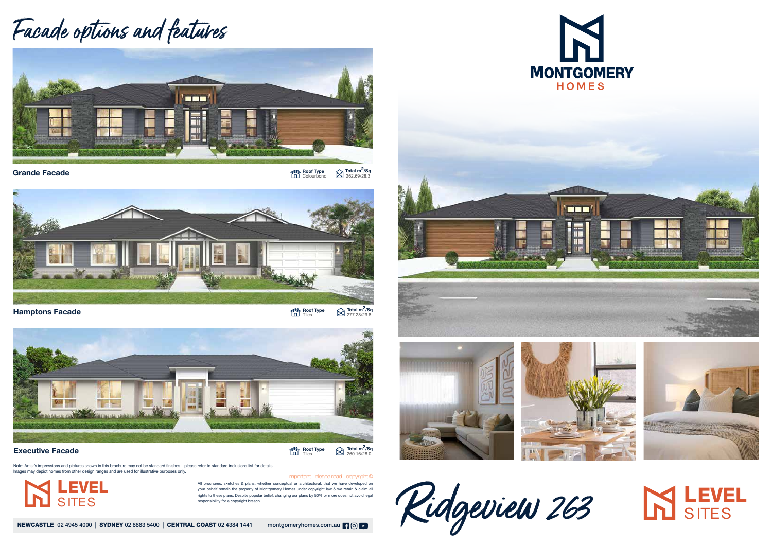All brochures, sketches & plans, whether conceptual or architectural, that we have developed on your behalf remain the property of Montgomery Homes under copyright law & we retain & claim all rights to these plans. Despite popular belief, changing our plans by 50% or more does not avoid legal











 $\bf{Grande\; Facade} \begin{picture}(10,10) \put(0,0){\line(1,0){155}} \put(10,0){\line(1,0){155}} \put(10,0){\line(1,0){155}} \put(10,0){\line(1,0){155}} \put(10,0){\line(1,0){155}} \put(10,0){\line(1,0){155}} \put(10,0){\line(1,0){155}} \put(10,0){\line(1,0){155}} \put(10,0){\line(1,0){155}} \put(10,0){\line(1,0){155}} \put(10,0){\line$ 





 $\bigotimes$  Total m<sup>2</sup>/Sq<br>277.28/29.8





## Facade options and features







Note: Artist's impressions and pictures shown in this brochure may not be standard finishes – please refer to standard inclusions list for details. Images may depict homes from other design ranges and are used for illustrative purposes only.